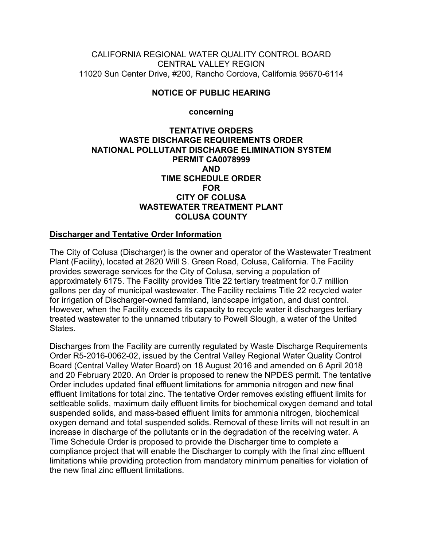CALIFORNIA REGIONAL WATER QUALITY CONTROL BOARD CENTRAL VALLEY REGION 11020 Sun Center Drive, #200, Rancho Cordova, California 95670-6114

# **NOTICE OF PUBLIC HEARING**

**concerning**

#### **TENTATIVE ORDERS WASTE DISCHARGE REQUIREMENTS ORDER NATIONAL POLLUTANT DISCHARGE ELIMINATION SYSTEM PERMIT CA0078999 AND TIME SCHEDULE ORDER FOR CITY OF COLUSA WASTEWATER TREATMENT PLANT COLUSA COUNTY**

# **Discharger and Tentative Order Information**

The City of Colusa (Discharger) is the owner and operator of the Wastewater Treatment Plant (Facility), located at 2820 Will S. Green Road, Colusa, California. The Facility provides sewerage services for the City of Colusa, serving a population of approximately 6175. The Facility provides Title 22 tertiary treatment for 0.7 million gallons per day of municipal wastewater. The Facility reclaims Title 22 recycled water for irrigation of Discharger-owned farmland, landscape irrigation, and dust control. However, when the Facility exceeds its capacity to recycle water it discharges tertiary treated wastewater to the unnamed tributary to Powell Slough, a water of the United **States** 

Discharges from the Facility are currently regulated by Waste Discharge Requirements Order R5-2016-0062-02, issued by the Central Valley Regional Water Quality Control Board (Central Valley Water Board) on 18 August 2016 and amended on 6 April 2018 and 20 February 2020. An Order is proposed to renew the NPDES permit. The tentative Order includes updated final effluent limitations for ammonia nitrogen and new final effluent limitations for total zinc. The tentative Order removes existing effluent limits for settleable solids, maximum daily effluent limits for biochemical oxygen demand and total suspended solids, and mass-based effluent limits for ammonia nitrogen, biochemical oxygen demand and total suspended solids. Removal of these limits will not result in an increase in discharge of the pollutants or in the degradation of the receiving water. A Time Schedule Order is proposed to provide the Discharger time to complete a compliance project that will enable the Discharger to comply with the final zinc effluent limitations while providing protection from mandatory minimum penalties for violation of the new final zinc effluent limitations.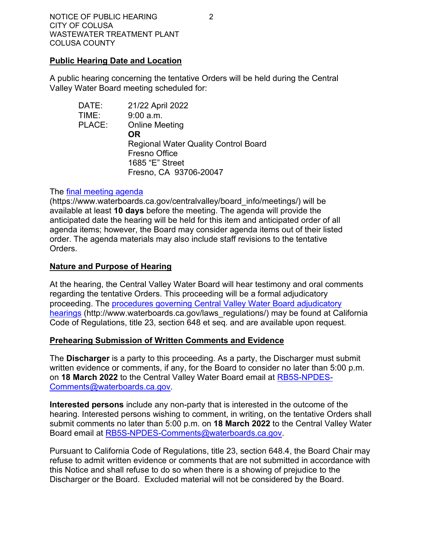#### **Public Hearing Date and Location**

A public hearing concerning the tentative Orders will be held during the Central Valley Water Board meeting scheduled for:

| DATE:  | 21/22 April 2022                            |
|--------|---------------------------------------------|
| TIME:  | 9:00 a.m.                                   |
| PLACE: | <b>Online Meeting</b>                       |
|        | <b>OR</b>                                   |
|        | <b>Regional Water Quality Control Board</b> |
|        | Fresno Office                               |
|        | 1685 "E" Street                             |
|        | Fresno, CA 93706-20047                      |

#### The [final meeting agenda](https://www.waterboards.ca.gov/centralvalley/board_info/meetings/)

(https://www.waterboards.ca.gov/centralvalley/board\_info/meetings/) will be available at least **10 days** before the meeting. The agenda will provide the anticipated date the hearing will be held for this item and anticipated order of all agenda items; however, the Board may consider agenda items out of their listed order. The agenda materials may also include staff revisions to the tentative Orders.

# **Nature and Purpose of Hearing**

At the hearing, the Central Valley Water Board will hear testimony and oral comments regarding the tentative Orders. This proceeding will be a formal adjudicatory proceeding. The [procedures governing Central Valley Water Board adjudicatory](http://www.waterboards.ca.gov/laws_regulations/)  [hearings](http://www.waterboards.ca.gov/laws_regulations/) (http://www.waterboards.ca.gov/laws\_regulations/) may be found at California Code of Regulations, title 23, section 648 et seq. and are available upon request.

# **Prehearing Submission of Written Comments and Evidence**

The **Discharger** is a party to this proceeding. As a party, the Discharger must submit written evidence or comments, if any, for the Board to consider no later than 5:00 p.m. on **18 March 2022** to the Central Valley Water Board email at [RB5S-NPDES-](mailto:RB5S-NPDES-Comments@waterboards.ca.gov)[Comments@waterboards.ca.gov.](mailto:RB5S-NPDES-Comments@waterboards.ca.gov)

**Interested persons** include any non-party that is interested in the outcome of the hearing. Interested persons wishing to comment, in writing, on the tentative Orders shall submit comments no later than 5:00 p.m. on **18 March 2022** to the Central Valley Water Board email at [RB5S-NPDES-Comments@waterboards.ca.gov](mailto:RB5S-NPDES-Comments@waterboards.ca.gov).

Pursuant to California Code of Regulations, title 23, section 648.4, the Board Chair may refuse to admit written evidence or comments that are not submitted in accordance with this Notice and shall refuse to do so when there is a showing of prejudice to the Discharger or the Board. Excluded material will not be considered by the Board.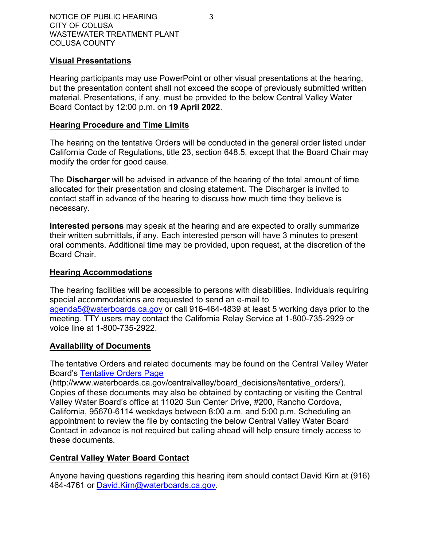#### **Visual Presentations**

Hearing participants may use PowerPoint or other visual presentations at the hearing, but the presentation content shall not exceed the scope of previously submitted written material. Presentations, if any, must be provided to the below Central Valley Water Board Contact by 12:00 p.m. on **19 April 2022**.

#### **Hearing Procedure and Time Limits**

The hearing on the tentative Orders will be conducted in the general order listed under California Code of Regulations, title 23, section 648.5, except that the Board Chair may modify the order for good cause.

The **Discharger** will be advised in advance of the hearing of the total amount of time allocated for their presentation and closing statement. The Discharger is invited to contact staff in advance of the hearing to discuss how much time they believe is necessary.

**Interested persons** may speak at the hearing and are expected to orally summarize their written submittals, if any. Each interested person will have 3 minutes to present oral comments. Additional time may be provided, upon request, at the discretion of the Board Chair.

#### **Hearing Accommodations**

The hearing facilities will be accessible to persons with disabilities. Individuals requiring special accommodations are requested to send an e-mail to [agenda5@waterboards.ca.gov](mailto:agenda5@waterboards.ca.gov) or call 916-464-4839 at least 5 working days prior to the meeting. TTY users may contact the California Relay Service at 1-800-735-2929 or voice line at 1-800-735-2922.

# **Availability of Documents**

The tentative Orders and related documents may be found on the Central Valley Water Board's [Tentative Orders Page](https://www.waterboards.ca.gov/centralvalley/board_decisions/tentative_orders/)

(http://www.waterboards.ca.gov/centralvalley/board\_decisions/tentative\_orders/). Copies of these documents may also be obtained by contacting or visiting the Central Valley Water Board's office at 11020 Sun Center Drive, #200, Rancho Cordova, California, 95670-6114 weekdays between 8:00 a.m. and 5:00 p.m. Scheduling an appointment to review the file by contacting the below Central Valley Water Board Contact in advance is not required but calling ahead will help ensure timely access to these documents.

# **Central Valley Water Board Contact**

Anyone having questions regarding this hearing item should contact David Kirn at (916) 464-4761 or [David.Kirn@waterboards.ca.gov](mailto:David.Kirn@waterboards.ca.gov).